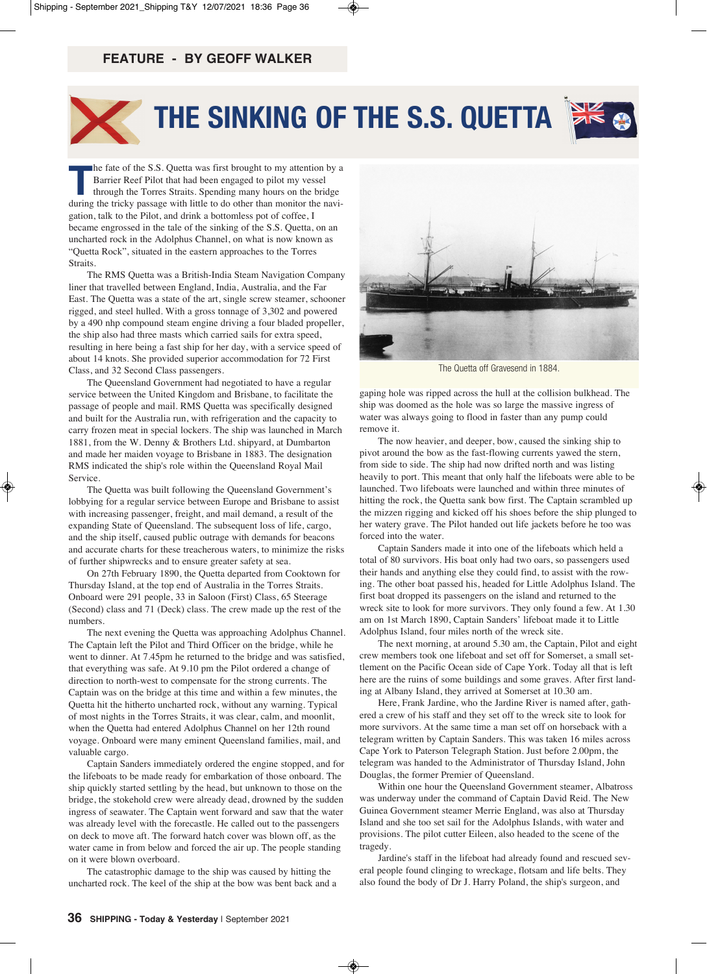## **FEATURE - by GEOFF WALKER**



## **The Sinking of The S.S. QueTTa**



**The fate of the S.S. Quetta was first brought to my attention by a**<br>Barrier Reef Pilot that had been engaged to pilot my vessel<br>through the Torres Straits. Spending many hours on the bridge<br>during the tricky passage with Barrier Reef Pilot that had been engaged to pilot my vessel during the tricky passage with little to do other than monitor the navigation, talk to the Pilot, and drink a bottomless pot of coffee, I became engrossed in the tale of the sinking of the S.S. Quetta, on an uncharted rock in the Adolphus Channel, on what is now known as "Quetta Rock", situated in the eastern approaches to the Torres Straits.

The RMS Quetta was a British-India Steam Navigation Company liner that travelled between England, India, Australia, and the Far East. The Quetta was a state of the art, single screw steamer, schooner rigged, and steel hulled. With a gross tonnage of 3,302 and powered by a 490 nhp compound steam engine driving a four bladed propeller, the ship also had three masts which carried sails for extra speed, resulting in here being a fast ship for her day, with a service speed of about 14 knots. She provided superior accommodation for 72 First Class, and 32 Second Class passengers.

The Queensland Government had negotiated to have a regular service between the United Kingdom and Brisbane, to facilitate the passage of people and mail. RMS Quetta was specifically designed and built for the Australia run, with refrigeration and the capacity to carry frozen meat in special lockers. The ship was launched in March 1881, from the W. Denny & Brothers Ltd. shipyard, at Dumbarton and made her maiden voyage to Brisbane in 1883. The designation RMS indicated the ship's role within the Queensland Royal Mail **Service** 

The Quetta was built following the Queensland Government's lobbying for a regular service between Europe and Brisbane to assist with increasing passenger, freight, and mail demand, a result of the expanding State of Queensland. The subsequent loss of life, cargo, and the ship itself, caused public outrage with demands for beacons and accurate charts for these treacherous waters, to minimize the risks of further shipwrecks and to ensure greater safety at sea.

On 27th February 1890, the Quetta departed from Cooktown for Thursday Island, at the top end of Australia in the Torres Straits. Onboard were 291 people, 33 in Saloon (First) Class, 65 Steerage (Second) class and 71 (Deck) class. The crew made up the rest of the numbers.

The next evening the Quetta was approaching Adolphus Channel. The Captain left the Pilot and Third Officer on the bridge, while he went to dinner. At 7.45pm he returned to the bridge and was satisfied, that everything was safe. At 9.10 pm the Pilot ordered a change of direction to north-west to compensate for the strong currents. The Captain was on the bridge at this time and within a few minutes, the Quetta hit the hitherto uncharted rock, without any warning. Typical of most nights in the Torres Straits, it was clear, calm, and moonlit, when the Quetta had entered Adolphus Channel on her 12th round voyage. Onboard were many eminent Queensland families, mail, and valuable cargo.

Captain Sanders immediately ordered the engine stopped, and for the lifeboats to be made ready for embarkation of those onboard. The ship quickly started settling by the head, but unknown to those on the bridge, the stokehold crew were already dead, drowned by the sudden ingress of seawater. The Captain went forward and saw that the water was already level with the forecastle. He called out to the passengers on deck to move aft. The forward hatch cover was blown off, as the water came in from below and forced the air up. The people standing on it were blown overboard.

The catastrophic damage to the ship was caused by hitting the uncharted rock. The keel of the ship at the bow was bent back and a



The Quetta off Gravesend in 1884.

gaping hole was ripped across the hull at the collision bulkhead. The ship was doomed as the hole was so large the massive ingress of water was always going to flood in faster than any pump could remove it.

The now heavier, and deeper, bow, caused the sinking ship to pivot around the bow as the fast-flowing currents yawed the stern, from side to side. The ship had now drifted north and was listing heavily to port. This meant that only half the lifeboats were able to be launched. Two lifeboats were launched and within three minutes of hitting the rock, the Quetta sank bow first. The Captain scrambled up the mizzen rigging and kicked off his shoes before the ship plunged to her watery grave. The Pilot handed out life jackets before he too was forced into the water.

Captain Sanders made it into one of the lifeboats which held a total of 80 survivors. His boat only had two oars, so passengers used their hands and anything else they could find, to assist with the rowing. The other boat passed his, headed for Little Adolphus Island. The first boat dropped its passengers on the island and returned to the wreck site to look for more survivors. They only found a few. At 1.30 am on 1st March 1890, Captain Sanders' lifeboat made it to Little Adolphus Island, four miles north of the wreck site.

The next morning, at around 5.30 am, the Captain, Pilot and eight crew members took one lifeboat and set off for Somerset, a small settlement on the Pacific Ocean side of Cape York. Today all that is left here are the ruins of some buildings and some graves. After first landing at Albany Island, they arrived at Somerset at 10.30 am.

Here, Frank Jardine, who the Jardine River is named after, gathered a crew of his staff and they set off to the wreck site to look for more survivors. At the same time a man set off on horseback with a telegram written by Captain Sanders. This was taken 16 miles across Cape York to Paterson Telegraph Station. Just before 2.00pm, the telegram was handed to the Administrator of Thursday Island, John Douglas, the former Premier of Queensland.

Within one hour the Queensland Government steamer, Albatross was underway under the command of Captain David Reid. The New Guinea Government steamer Merrie England, was also at Thursday Island and she too set sail for the Adolphus Islands, with water and provisions. The pilot cutter Eileen, also headed to the scene of the tragedy.

Jardine's staff in the lifeboat had already found and rescued several people found clinging to wreckage, flotsam and life belts. They also found the body of Dr J. Harry Poland, the ship's surgeon, and